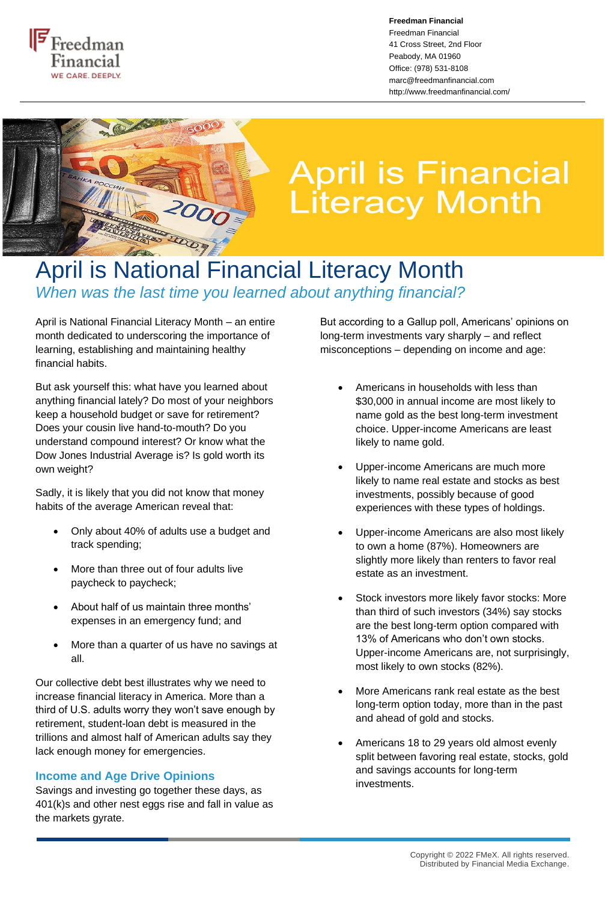

**Freedman Financial** Freedman Financial 41 Cross Street, 2nd Floor Peabody, MA 01960 Office: (978) 531-8108 marc@freedmanfinancial.com http://www.freedmanfinancial.com/



## **April is Financial<br>Literacy Month**

## April is National Financial Literacy Month *When was the last time you learned about anything financial?*

April is National Financial Literacy Month – an entire month dedicated to underscoring the importance of learning, establishing and maintaining healthy financial habits.

But ask yourself this: what have you learned about anything financial lately? Do most of your neighbors keep a household budget or save for retirement? Does your cousin live hand-to-mouth? Do you understand compound interest? Or know what the Dow Jones Industrial Average is? Is gold worth its own weight?

Sadly, it is likely that you did not know that money habits of the average American reveal that:

- Only about 40% of adults use a budget and track spending;
- More than three out of four adults live paycheck to paycheck;
- About half of us maintain three months' expenses in an emergency fund; and
- More than a quarter of us have no savings at all.

Our collective debt best illustrates why we need to increase financial literacy in America. More than a third of U.S. adults worry they won't save enough by retirement, student-loan debt is measured in the trillions and almost half of American adults say they lack enough money for emergencies.

## **Income and Age Drive Opinions**

Savings and investing go together these days, as 401(k)s and other nest eggs rise and fall in value as the markets gyrate.

But according to a Gallup poll, Americans' opinions on long-term investments vary sharply – and reflect misconceptions – depending on income and age:

- Americans in households with less than \$30,000 in annual income are most likely to name gold as the best long-term investment choice. Upper-income Americans are least likely to name gold.
- Upper-income Americans are much more likely to name real estate and stocks as best investments, possibly because of good experiences with these types of holdings.
- Upper-income Americans are also most likely to own a home (87%). Homeowners are slightly more likely than renters to favor real estate as an investment.
- Stock investors more likely favor stocks: More than third of such investors (34%) say stocks are the best long-term option compared with 13% of Americans who don't own stocks. Upper-income Americans are, not surprisingly, most likely to own stocks (82%).
- More Americans rank real estate as the best long-term option today, more than in the past and ahead of gold and stocks.
- Americans 18 to 29 years old almost evenly split between favoring real estate, stocks, gold and savings accounts for long-term investments.